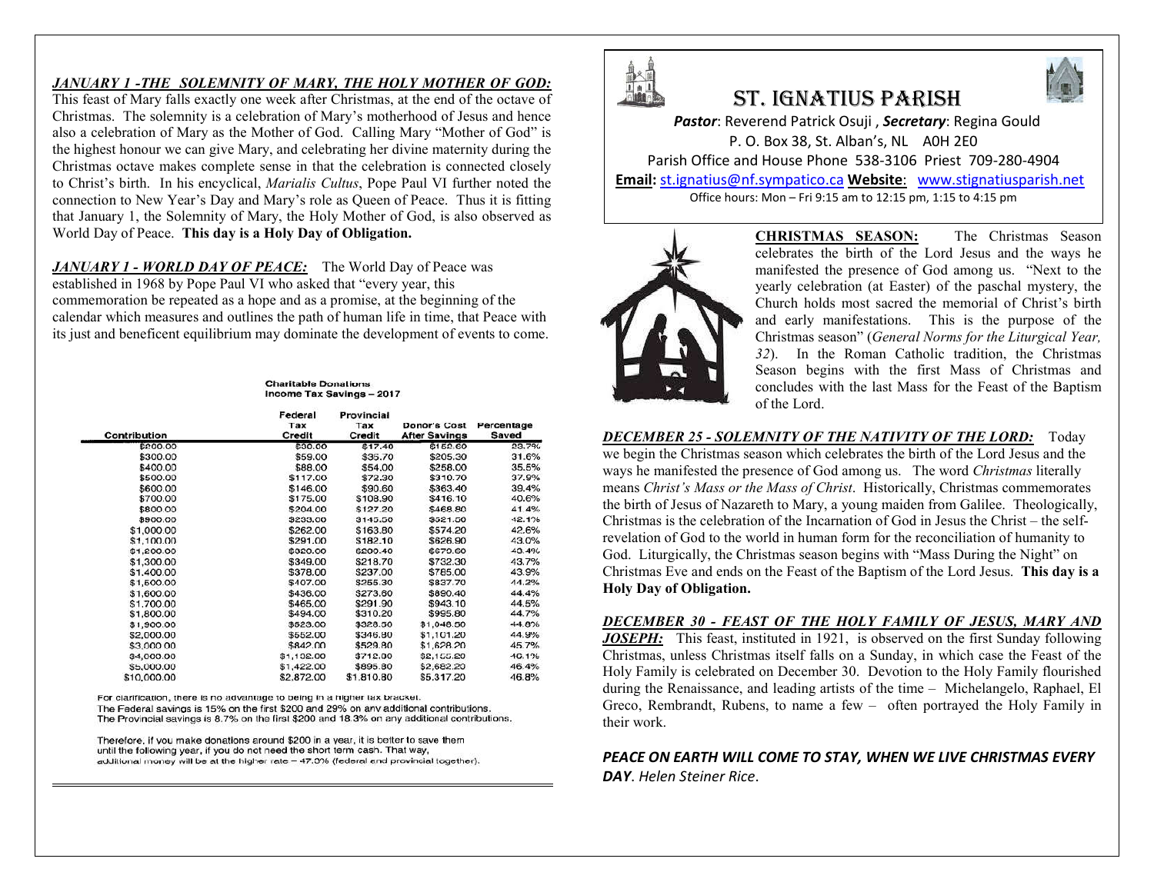#### *JANUARY 1 -THE SOLEMNITY OF MARY, THE HOLY MOTHER OF GOD:*

This feast of Mary falls exactly one week after Christmas, at the end of the octave of Christmas. The solemnity is a celebration of Mary's motherhood of Jesus and hence also a celebration of Mary as the Mother of God. Calling Mary "Mother of God" is the highest honour we can give Mary, and celebrating her divine maternity during the Christmas octave makes complete sense in that the celebration is connected closely to Christ's birth. In his encyclical, *Marialis Cultus*, Pope Paul VI further noted the connection to New Year's Day and Mary's role as Queen of Peace. Thus it is fitting that January 1, the Solemnity of Mary, the Holy Mother of God, is also observed as World Day of Peace. **This day is a Holy Day of Obligation.**

*JANUARY 1 - WORLD DAY OF PEACE:* The World Day of Peace was established in 1968 by Pope Paul VI who asked that "every year, this commemoration be repeated as a hope and as a promise, at the beginning of the calendar which measures and outlines the path of human life in time, that Peace with its just and beneficent equilibrium may dominate the development of events to come.

#### **Charitable Donations Income Tax Savings - 2017**

| Contribution | Federal<br>Tax<br>Credit | Provincial<br>Tax<br>Credit | <b>Donor's Cost</b><br><b>After Savings</b> | Percentage<br>Saved |
|--------------|--------------------------|-----------------------------|---------------------------------------------|---------------------|
| \$200.00     | \$30.00                  | \$17.40                     | \$152.60                                    | 23.7%               |
| \$300.00     | \$59.00                  | \$35.70                     | \$205.30                                    | 31.6%               |
| \$400.00     | \$88.00                  | \$54.00                     | \$258.00                                    | 35.5%               |
| \$500.00     | \$117.00                 | \$72.30                     | \$310.70                                    | 37.9%               |
| \$600.00     | \$146.00                 | \$90.60                     | \$363.40                                    | 39.4%               |
| \$700.00     | \$175.00                 | \$108.90                    | \$416.10                                    | 40.6%               |
| \$800.00     | \$204.00                 | \$127.20                    | \$468.80                                    | 41.4%               |
| \$900.00     | \$233.00                 | \$145.50                    | \$521.50                                    | 42.1%               |
| \$1,000.00   | \$262.00                 | \$163.80                    | \$574.20                                    | 42.6%               |
| \$1,100.00   | \$291.00                 | \$182.10                    | \$626.90                                    | 43.0%               |
| \$1,200.00   | \$320.00                 | \$200.40                    | \$679.60                                    | 43.4%               |
| \$1,300.00   | \$349.00                 | \$218.70                    | \$732.30                                    | 43.7%               |
| \$1,400.00   | \$378.00                 | \$237.00                    | \$785.00                                    | 43.9%               |
| \$1,500.00   | \$407.00                 | \$255.30                    | \$837.70                                    | 44.2%               |
| \$1,600.00   | \$436.00                 | \$273.60                    | \$890.40                                    | 44.4%               |
| \$1,700.00   | \$465.00                 | \$291.90                    | \$943.10                                    | 44.5%               |
| \$1,800.00   | \$494.00                 | \$310.20                    | \$995.80                                    | 44.7%               |
| \$1,900.00   | \$523.00                 | \$328.50                    | \$1.048.50                                  | 44.8%               |
| \$2,000.00   | \$552.00                 | \$346.80                    | \$1,101.20                                  | 44.9%               |
| \$3,000.00   | \$842.00                 | \$529.80                    | \$1,628.20                                  | 45.7%               |
| \$4,000.00   | \$1,132.00               | \$712.80                    | \$2,155.20                                  | 46.1%               |
| \$5,000.00   | \$1,422.00               | \$895.80                    | \$2,682.20                                  | 46.4%               |
| \$10,000.00  | \$2,872.00               | \$1,810.80                  | \$5,317.20                                  | 46.8%               |

For clarification, there is no advantage to being in a higher tax bracket.

The Federal savings is 15% on the first \$200 and 29% on any additional contributions. The Provincial savings is 8.7% on the first \$200 and 18.3% on any additional contributions.

Therefore, if you make donations around \$200 in a year, it is better to save them until the following year, if you do not need the short term cash. That way, additional money will be at the higher rate - 47.3% (federal and provincial together).



╽ ╽

# St. IgnatIuS parISh



*Pastor*: Reverend Patrick Osuji , *Secretary*: Regina Gould P. O. Box 38, St. Alban's, NL A0H 2E0 Parish Office and House Phone 538-3106 Priest 709-280-4904 **Email:** st.ignatius@nf.sympatico.ca **Website**: www.stignatiusparish.net

Office hours: Mon – Fri 9:15 am to 12:15 pm, 1:15 to 4:15 pm



**CHRISTMAS SEASON:** The Christmas Season celebrates the birth of the Lord Jesus and the ways he manifested the presence of God among us. "Next to the yearly celebration (at Easter) of the paschal mystery, the Church holds most sacred the memorial of Christ's birth and early manifestations. This is the purpose of the Christmas season" (*General Norms for the Liturgical Year, 32*). In the Roman Catholic tradition, the Christmas Season begins with the first Mass of Christmas and concludes with the last Mass for the Feast of the Baptism of the Lord.

#### *DECEMBER 25 - SOLEMNITY OF THE NATIVITY OF THE LORD:* Today we begin the Christmas season which celebrates the birth of the Lord Jesus and the ways he manifested the presence of God among us. The word *Christmas* literally

means *Christ's Mass or the Mass of Christ*. Historically, Christmas commemorates the birth of Jesus of Nazareth to Mary, a young maiden from Galilee. Theologically, Christmas is the celebration of the Incarnation of God in Jesus the Christ – the selfrevelation of God to the world in human form for the reconciliation of humanity to God. Liturgically, the Christmas season begins with "Mass During the Night" on Christmas Eve and ends on the Feast of the Baptism of the Lord Jesus. **This day is a Holy Day of Obligation.**

#### *DECEMBER 30 - FEAST OF THE HOLY FAMILY OF JESUS, MARY AND*

*JOSEPH:* This feast, instituted in 1921, is observed on the first Sunday following Christmas, unless Christmas itself falls on a Sunday, in which case the Feast of the Holy Family is celebrated on December 30. Devotion to the Holy Family flourished during the Renaissance, and leading artists of the time – Michelangelo, Raphael, El Greco, Rembrandt, Rubens, to name a few – often portrayed the Holy Family in their work.

*PEACE ON EARTH WILL COME TO STAY, WHEN WE LIVE CHRISTMAS EVERY DAY*. *Helen Steiner Rice*.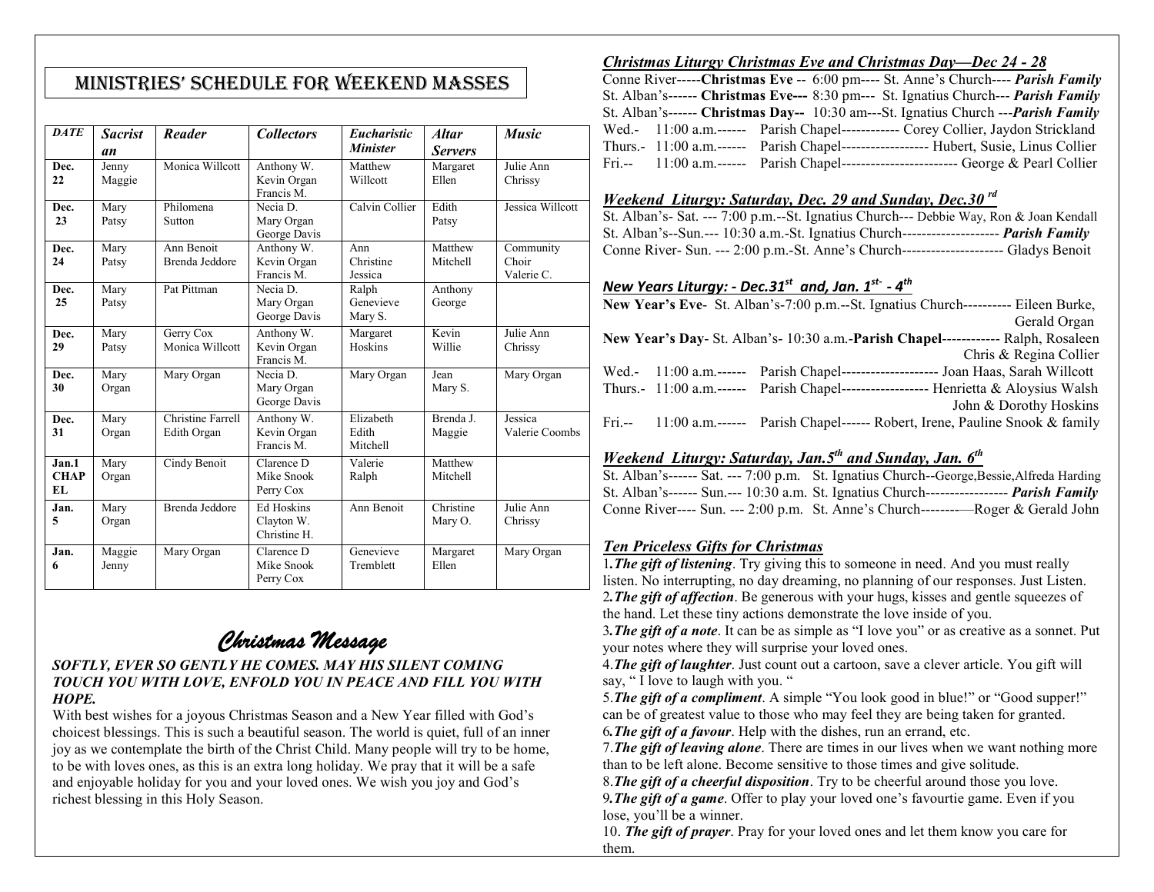## MInIStrIeS' Schedule for Weekend MaSSeS

| <b>DATE</b>                 | <b>Sacrist</b><br>an | Reader                           | <b>Collectors</b>                               | <b>Eucharistic</b><br><b>Minister</b> | <b>Altar</b><br><b>Servers</b> | <b>Music</b>                     |
|-----------------------------|----------------------|----------------------------------|-------------------------------------------------|---------------------------------------|--------------------------------|----------------------------------|
| Dec.<br>22                  | Jenny<br>Maggie      | Monica Willcott                  | Anthony W.<br>Kevin Organ<br>Francis M.         | Matthew<br>Willcott                   | Margaret<br>Ellen              | Julie Ann<br>Chrissy             |
| Dec.<br>23                  | Mary<br>Patsy        | Philomena<br>Sutton              | Necia D.<br>Mary Organ<br>George Davis          | Calvin Collier                        | Edith<br>Patsy                 | Jessica Willcott                 |
| Dec.<br>24                  | Mary<br>Patsy        | Ann Benoit<br>Brenda Jeddore     | Anthony W.<br>Kevin Organ<br>Francis M.         | Ann<br>Christine<br>Jessica           | Matthew<br>Mitchell            | Community<br>Choir<br>Valerie C. |
| Dec.<br>25                  | Mary<br>Patsy        | Pat Pittman                      | Necia D.<br>Mary Organ<br>George Davis          | Ralph<br>Genevieve<br>Mary S.         | Anthony<br>George              |                                  |
| Dec.<br>29                  | Mary<br>Patsy        | Gerry Cox<br>Monica Willcott     | Anthony W.<br>Kevin Organ<br>Francis M.         | Margaret<br>Hoskins                   | Kevin<br>Willie                | Julie Ann<br>Chrissy             |
| Dec.<br>30                  | Mary<br>Organ        | Mary Organ                       | Necia D.<br>Mary Organ<br>George Davis          | Mary Organ                            | Jean<br>Mary S.                | Mary Organ                       |
| Dec.<br>31                  | Mary<br>Organ        | Christine Farrell<br>Edith Organ | Anthony W.<br>Kevin Organ<br>Francis M.         | Elizabeth<br>Edith<br>Mitchell        | Brenda J.<br>Maggie            | Jessica<br>Valerie Coombs        |
| Jan.1<br><b>CHAP</b><br>EL. | Mary<br>Organ        | Cindy Benoit                     | Clarence D<br>Mike Snook<br>Perry Cox           | Valerie<br>Ralph                      | Matthew<br>Mitchell            |                                  |
| Jan.<br>5                   | Mary<br>Organ        | Brenda Jeddore                   | <b>Ed Hoskins</b><br>Clayton W.<br>Christine H. | Ann Benoit                            | Christine<br>Mary O.           | Julie Ann<br>Chrissy             |
| Jan.<br>6                   | Maggie<br>Jenny      | Mary Organ                       | Clarence D<br>Mike Snook<br>Perry Cox           | Genevieve<br>Tremblett                | Margaret<br>Ellen              | Mary Organ                       |

## *Christmas Message*

#### *SOFTLY, EVER SO GENTLY HE COMES. MAY HIS SILENT COMING TOUCH YOU WITH LOVE, ENFOLD YOU IN PEACE AND FILL YOU WITH HOPE.*

With best wishes for a joyous Christmas Season and a New Year filled with God's choicest blessings. This is such a beautiful season. The world is quiet, full of an inner joy as we contemplate the birth of the Christ Child. Many people will try to be home, to be with loves ones, as this is an extra long holiday. We pray that it will be a safe and enjoyable holiday for you and your loved ones. We wish you joy and God's richest blessing in this Holy Season.

### *Christmas Liturgy Christmas Eve and Christmas Day—Dec 24 - 28*

Conne River-----**Christmas Eve** -- 6:00 pm---- St. Anne's Church---- *Parish Family* St. Alban's------ **Christmas Eve---** 8:30 pm--- St. Ignatius Church--- *Parish Family* St. Alban's------ **Christmas Day--** 10:30 am---St. Ignatius Church ---*Parish Family* Wed.- 11:00 a.m.------ Parish Chapel------------ Corey Collier, Jaydon Strickland Thurs.- 11:00 a.m.------ Parish Chapel------------------ Hubert, Susie, Linus Collier Fri.-- 11:00 a.m.------ Parish Chapel------------------------ George & Pearl Collier

### *Weekend Liturgy: Saturday, Dec. 29 and Sunday, Dec.30 rd*

St. Alban's- Sat. --- 7:00 p.m.--St. Ignatius Church--- Debbie Way, Ron & Joan Kendall St. Alban's--Sun.--- 10:30 a.m.-St. Ignatius Church-------------------- *Parish Family* Conne River- Sun. --- 2:00 p.m.-St. Anne's Church--------------------- Gladys Benoit

## *New Years Liturgy: - Dec.31st and, Jan. 1st- - 4th*

|                                                                                   |  | New Year's Eve- St. Alban's-7:00 p.m.--St. Ignatius Church---------- Eileen Burke,     |  |  |  |
|-----------------------------------------------------------------------------------|--|----------------------------------------------------------------------------------------|--|--|--|
|                                                                                   |  | Gerald Organ                                                                           |  |  |  |
| New Year's Day- St. Alban's-10:30 a.m.-Parish Chapel------------- Ralph, Rosaleen |  |                                                                                        |  |  |  |
|                                                                                   |  | Chris & Regina Collier                                                                 |  |  |  |
|                                                                                   |  | Wed.- 11:00 a.m.------ Parish Chapel--------------------- Joan Haas, Sarah Willcott    |  |  |  |
|                                                                                   |  | Thurs.- 11:00 a.m.------ Parish Chapel--------------------- Henrietta & Aloysius Walsh |  |  |  |
|                                                                                   |  | John & Dorothy Hoskins                                                                 |  |  |  |
|                                                                                   |  | Fri.-- 11:00 a.m.------ Parish Chapel------ Robert, Irene, Pauline Snook & family      |  |  |  |
|                                                                                   |  |                                                                                        |  |  |  |

## *Weekend Liturgy: Saturday, Jan.5th and Sunday, Jan. 6th*

St. Alban's------ Sat. --- 7:00 p.m. St. Ignatius Church--George,Bessie,Alfreda Harding St. Alban's------ Sun.--- 10:30 a.m. St. Ignatius Church----------------- *Parish Family* Conne River---- Sun. --- 2:00 p.m. St. Anne's Church--------—Roger & Gerald John

## *Ten Priceless Gifts for Christmas*

1*.The gift of listening*. Try giving this to someone in need. And you must really listen. No interrupting, no day dreaming, no planning of our responses. Just Listen. 2*.The gift of affection*. Be generous with your hugs, kisses and gentle squeezes of the hand. Let these tiny actions demonstrate the love inside of you.

3*.The gift of a note*. It can be as simple as "I love you" or as creative as a sonnet. Put your notes where they will surprise your loved ones.

4.*The gift of laughter*. Just count out a cartoon, save a clever article. You gift will say, "I love to laugh with you."

5.*The gift of a compliment*. A simple "You look good in blue!" or "Good supper!" can be of greatest value to those who may feel they are being taken for granted. 6*.The gift of a favour*. Help with the dishes, run an errand, etc.

7.*The gift of leaving alone*. There are times in our lives when we want nothing more than to be left alone. Become sensitive to those times and give solitude.

8.*The gift of a cheerful disposition*. Try to be cheerful around those you love. 9*.The gift of a game*. Offer to play your loved one's favourtie game. Even if you lose, you'll be a winner.

10. *The gift of prayer*. Pray for your loved ones and let them know you care for them.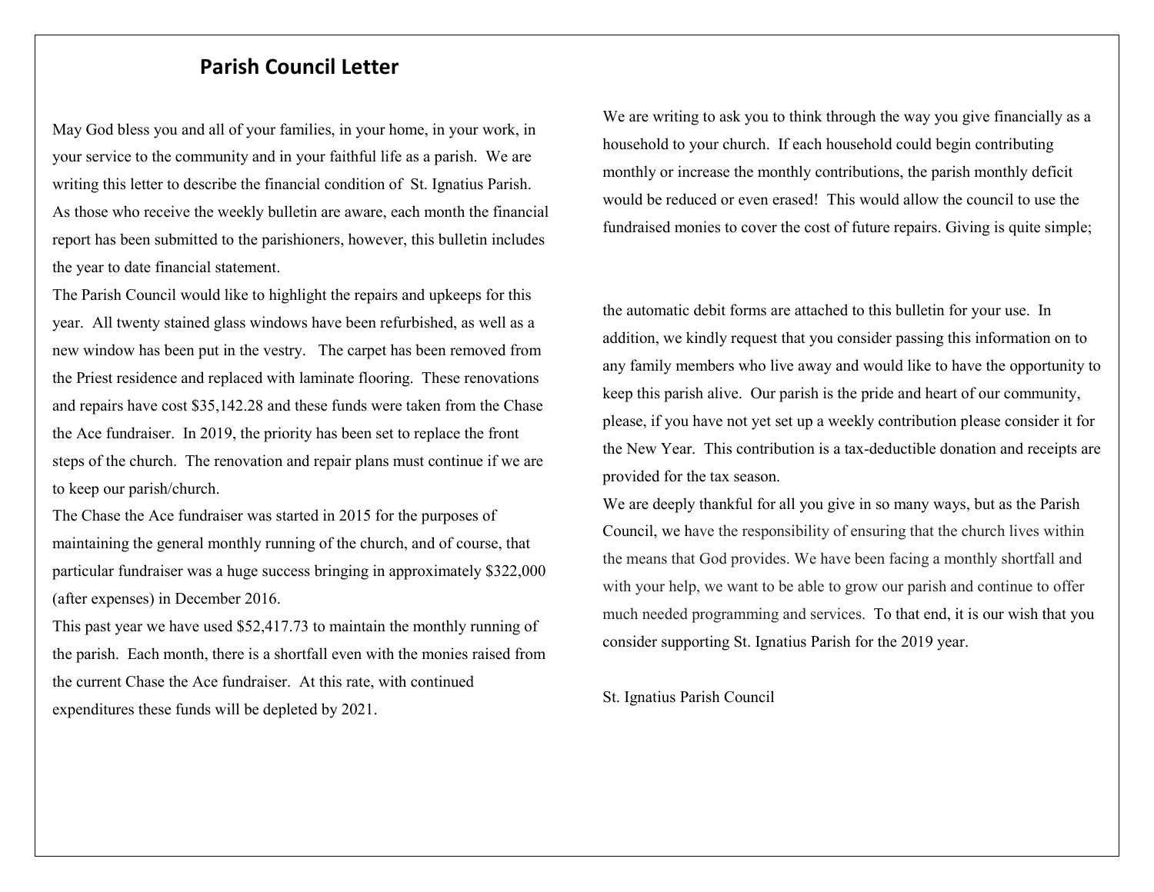## **Parish Council Letter**

May God bless you and all of your families, in your home, in your work, in your service to the community and in your faithful life as a parish. We are writing this letter to describe the financial condition of St. Ignatius Parish. As those who receive the weekly bulletin are aware, each month the financial report has been submitted to the parishioners, however, this bulletin includes the year to date financial statement.

The Parish Council would like to highlight the repairs and upkeeps for this year. All twenty stained glass windows have been refurbished, as well as a new window has been put in the vestry. The carpet has been removed from the Priest residence and replaced with laminate flooring. These renovations and repairs have cost \$35,142.28 and these funds were taken from the Chase the Ace fundraiser. In 2019, the priority has been set to replace the front steps of the church. The renovation and repair plans must continue if we are to keep our parish/church.

The Chase the Ace fundraiser was started in 2015 for the purposes of maintaining the general monthly running of the church, and of course, that particular fundraiser was a huge success bringing in approximately \$322,000 (after expenses) in December 2016.

This past year we have used \$52,417.73 to maintain the monthly running of the parish. Each month, there is a shortfall even with the monies raised from the current Chase the Ace fundraiser. At this rate, with continued expenditures these funds will be depleted by 2021.

We are writing to ask you to think through the way you give financially as a household to your church. If each household could begin contributing monthly or increase the monthly contributions, the parish monthly deficit would be reduced or even erased! This would allow the council to use the fundraised monies to cover the cost of future repairs. Giving is quite simple;

the automatic debit forms are attached to this bulletin for your use. In addition, we kindly request that you consider passing this information on to any family members who live away and would like to have the opportunity to keep this parish alive. Our parish is the pride and heart of our community, please, if you have not yet set up a weekly contribution please consider it for the New Year. This contribution is a tax-deductible donation and receipts are provided for the tax season.

We are deeply thankful for all you give in so many ways, but as the Parish Council, we have the responsibility of ensuring that the church lives within the means that God provides. We have been facing a monthly shortfall and with your help, we want to be able to grow our parish and continue to offer much needed programming and services. To that end, it is our wish that you consider supporting St. Ignatius Parish for the 2019 year.

St. Ignatius Parish Council